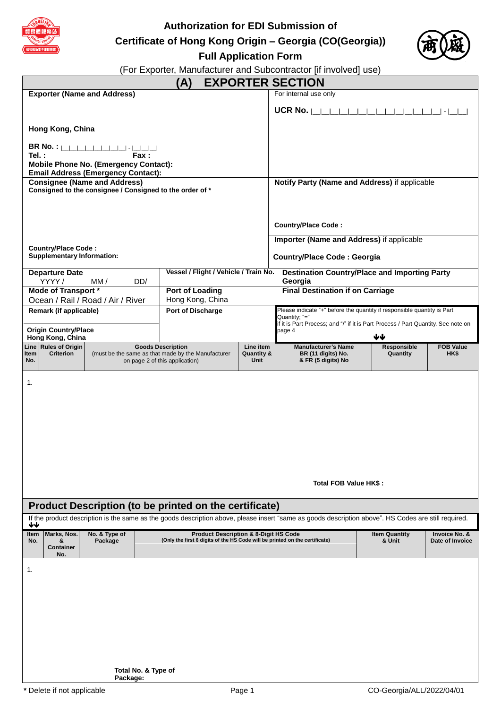

**Authorization for EDI Submission of**

**Certificate of Hong Kong Origin – Georgia (CO(Georgia))**



**Full Application Form**

(For Exporter, Manufacturer and Subcontractor [if involved] use)

|                                                                                                                                                           |                                                                                           | (A)                                                                                                                                                                                |                               | <b>EXPORTER SECTION</b>                                                                            |                 |                  |
|-----------------------------------------------------------------------------------------------------------------------------------------------------------|-------------------------------------------------------------------------------------------|------------------------------------------------------------------------------------------------------------------------------------------------------------------------------------|-------------------------------|----------------------------------------------------------------------------------------------------|-----------------|------------------|
| <b>Exporter (Name and Address)</b>                                                                                                                        |                                                                                           |                                                                                                                                                                                    |                               | For internal use only                                                                              |                 |                  |
|                                                                                                                                                           |                                                                                           |                                                                                                                                                                                    |                               | UCR No.                                                                                            |                 |                  |
|                                                                                                                                                           |                                                                                           |                                                                                                                                                                                    |                               |                                                                                                    |                 |                  |
| Hong Kong, China                                                                                                                                          |                                                                                           |                                                                                                                                                                                    |                               |                                                                                                    |                 |                  |
|                                                                                                                                                           |                                                                                           |                                                                                                                                                                                    |                               |                                                                                                    |                 |                  |
| Tel.:                                                                                                                                                     | Fax :                                                                                     |                                                                                                                                                                                    |                               |                                                                                                    |                 |                  |
|                                                                                                                                                           | <b>Mobile Phone No. (Emergency Contact):</b><br><b>Email Address (Emergency Contact):</b> |                                                                                                                                                                                    |                               |                                                                                                    |                 |                  |
|                                                                                                                                                           | <b>Consignee (Name and Address)</b>                                                       |                                                                                                                                                                                    |                               | Notify Party (Name and Address) if applicable                                                      |                 |                  |
|                                                                                                                                                           | Consigned to the consignee / Consigned to the order of *                                  |                                                                                                                                                                                    |                               |                                                                                                    |                 |                  |
|                                                                                                                                                           |                                                                                           |                                                                                                                                                                                    |                               |                                                                                                    |                 |                  |
|                                                                                                                                                           |                                                                                           |                                                                                                                                                                                    |                               | <b>Country/Place Code:</b>                                                                         |                 |                  |
|                                                                                                                                                           |                                                                                           |                                                                                                                                                                                    |                               |                                                                                                    |                 |                  |
| <b>Country/Place Code:</b>                                                                                                                                |                                                                                           |                                                                                                                                                                                    |                               | Importer (Name and Address) if applicable                                                          |                 |                  |
| <b>Supplementary Information:</b>                                                                                                                         |                                                                                           |                                                                                                                                                                                    |                               | <b>Country/Place Code: Georgia</b>                                                                 |                 |                  |
| <b>Departure Date</b>                                                                                                                                     |                                                                                           | Vessel / Flight / Vehicle / Train No.                                                                                                                                              |                               | <b>Destination Country/Place and Importing Party</b>                                               |                 |                  |
| YYYY /                                                                                                                                                    | DD/<br>MM/                                                                                |                                                                                                                                                                                    |                               | Georgia                                                                                            |                 |                  |
| Mode of Transport *                                                                                                                                       | Ocean / Rail / Road / Air / River                                                         | <b>Port of Loading</b><br>Hong Kong, China                                                                                                                                         |                               | <b>Final Destination if on Carriage</b>                                                            |                 |                  |
| Remark (if applicable)                                                                                                                                    |                                                                                           | <b>Port of Discharge</b>                                                                                                                                                           |                               | Please indicate "+" before the quantity if responsible quantity is Part                            |                 |                  |
|                                                                                                                                                           |                                                                                           |                                                                                                                                                                                    |                               | Quantity; "="<br>if it is Part Process; and "/" if it is Part Process / Part Quantity. See note on |                 |                  |
| <b>Origin Country/Place</b><br>Hong Kong, China                                                                                                           |                                                                                           |                                                                                                                                                                                    |                               | page 4                                                                                             | ₩               |                  |
| Line Rules of Origin                                                                                                                                      |                                                                                           | <b>Goods Description</b>                                                                                                                                                           | Line item                     | <b>Manufacturer's Name</b>                                                                         | Responsible     | <b>FOB Value</b> |
| <b>Criterion</b><br>ltem<br>No.                                                                                                                           |                                                                                           | (must be the same as that made by the Manufacturer<br>on page 2 of this application)                                                                                               | <b>Quantity &amp;</b><br>Unit | BR (11 digits) No.<br>& FR (5 digits) No                                                           | Quantity        | HK\$             |
| Total FOB Value HK\$:                                                                                                                                     |                                                                                           |                                                                                                                                                                                    |                               |                                                                                                    |                 |                  |
|                                                                                                                                                           |                                                                                           |                                                                                                                                                                                    |                               |                                                                                                    |                 |                  |
| Product Description (to be printed on the certificate)                                                                                                    |                                                                                           |                                                                                                                                                                                    |                               |                                                                                                    |                 |                  |
| If the product description is the same as the goods description above, please insert "same as goods description above". HS Codes are still required.<br>₩ |                                                                                           |                                                                                                                                                                                    |                               |                                                                                                    |                 |                  |
| Marks, Nos.<br>Item<br>No.<br>&<br><b>Container</b><br>No.                                                                                                | No. & Type of<br>Package                                                                  | <b>Product Description &amp; 8-Digit HS Code</b><br><b>Item Quantity</b><br>Invoice No. &<br>(Only the first 6 digits of the HS Code will be printed on the certificate)<br>& Unit |                               |                                                                                                    | Date of Invoice |                  |
| 1.                                                                                                                                                        |                                                                                           |                                                                                                                                                                                    |                               |                                                                                                    |                 |                  |
|                                                                                                                                                           |                                                                                           |                                                                                                                                                                                    |                               |                                                                                                    |                 |                  |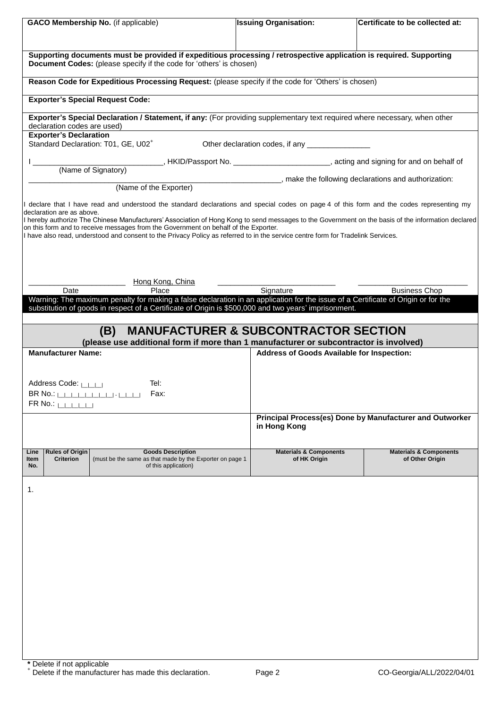| <b>GACO Membership No.</b> (if applicable)                                  |                                                                                                              |  | <b>Issuing Organisation:</b>                                                                                                                             | Certificate to be collected at:                                                                                                                                                                                                                                                                  |
|-----------------------------------------------------------------------------|--------------------------------------------------------------------------------------------------------------|--|----------------------------------------------------------------------------------------------------------------------------------------------------------|--------------------------------------------------------------------------------------------------------------------------------------------------------------------------------------------------------------------------------------------------------------------------------------------------|
|                                                                             | Document Codes: (please specify if the code for 'others' is chosen)                                          |  | Supporting documents must be provided if expeditious processing / retrospective application is required. Supporting                                      |                                                                                                                                                                                                                                                                                                  |
|                                                                             |                                                                                                              |  | Reason Code for Expeditious Processing Request: (please specify if the code for 'Others' is chosen)                                                      |                                                                                                                                                                                                                                                                                                  |
|                                                                             | <b>Exporter's Special Request Code:</b>                                                                      |  |                                                                                                                                                          |                                                                                                                                                                                                                                                                                                  |
| declaration codes are used)                                                 |                                                                                                              |  | Exporter's Special Declaration / Statement, if any: (For providing supplementary text required where necessary, when other                               |                                                                                                                                                                                                                                                                                                  |
| <b>Exporter's Declaration</b>                                               | Standard Declaration: T01, GE, U02 <sup>+</sup>                                                              |  |                                                                                                                                                          |                                                                                                                                                                                                                                                                                                  |
|                                                                             |                                                                                                              |  |                                                                                                                                                          | (Name of Signatory) HKID/Passport No. ____________________________, acting and signing for and on behalf of                                                                                                                                                                                      |
|                                                                             | (Name of the Exporter)                                                                                       |  |                                                                                                                                                          | ________, make the following declarations and authorization:                                                                                                                                                                                                                                     |
| declaration are as above.                                                   | on this form and to receive messages from the Government on behalf of the Exporter.                          |  | I have also read, understood and consent to the Privacy Policy as referred to in the service centre form for Tradelink Services.                         | I declare that I have read and understood the standard declarations and special codes on page 4 of this form and the codes representing my<br>  hereby authorize The Chinese Manufacturers' Association of Hong Kong to send messages to the Government on the basis of the information declared |
|                                                                             | Hong Kong, China                                                                                             |  |                                                                                                                                                          |                                                                                                                                                                                                                                                                                                  |
| Date                                                                        | Place                                                                                                        |  | Signature<br>Warning: The maximum penalty for making a false declaration in an application for the issue of a Certificate of Origin or for the           | <b>Business Chop</b>                                                                                                                                                                                                                                                                             |
|                                                                             | (B)                                                                                                          |  | substitution of goods in respect of a Certificate of Origin is \$500,000 and two years' imprisonment.<br><b>MANUFACTURER &amp; SUBCONTRACTOR SECTION</b> |                                                                                                                                                                                                                                                                                                  |
| <b>Manufacturer Name:</b>                                                   |                                                                                                              |  | (please use additional form if more than 1 manufacturer or subcontractor is involved)<br>Address of Goods Available for Inspection:                      |                                                                                                                                                                                                                                                                                                  |
| Address Code: LILLI<br>BR No.:  _ _ _ _ _ _ _ _ _ - - -<br>$FR$ No.: $\Box$ | Tel:<br>Fax:                                                                                                 |  |                                                                                                                                                          |                                                                                                                                                                                                                                                                                                  |
|                                                                             |                                                                                                              |  | in Hong Kong                                                                                                                                             | Principal Process(es) Done by Manufacturer and Outworker                                                                                                                                                                                                                                         |
| <b>Rules of Origin</b><br>Line<br><b>Criterion</b><br>Item<br>No.           | <b>Goods Description</b><br>(must be the same as that made by the Exporter on page 1<br>of this application) |  | <b>Materials &amp; Components</b><br>of HK Origin                                                                                                        | <b>Materials &amp; Components</b><br>of Other Origin                                                                                                                                                                                                                                             |
| 1.                                                                          |                                                                                                              |  |                                                                                                                                                          |                                                                                                                                                                                                                                                                                                  |
|                                                                             |                                                                                                              |  |                                                                                                                                                          |                                                                                                                                                                                                                                                                                                  |
|                                                                             |                                                                                                              |  |                                                                                                                                                          |                                                                                                                                                                                                                                                                                                  |
|                                                                             |                                                                                                              |  |                                                                                                                                                          |                                                                                                                                                                                                                                                                                                  |
|                                                                             |                                                                                                              |  |                                                                                                                                                          |                                                                                                                                                                                                                                                                                                  |
|                                                                             |                                                                                                              |  |                                                                                                                                                          |                                                                                                                                                                                                                                                                                                  |
|                                                                             |                                                                                                              |  |                                                                                                                                                          |                                                                                                                                                                                                                                                                                                  |
|                                                                             |                                                                                                              |  |                                                                                                                                                          |                                                                                                                                                                                                                                                                                                  |
|                                                                             |                                                                                                              |  |                                                                                                                                                          |                                                                                                                                                                                                                                                                                                  |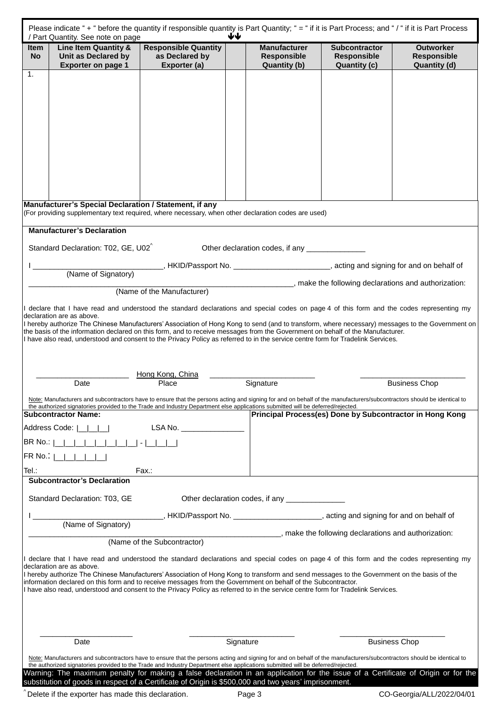| / Part Quantity. See note on page<br>Line Item Quantity &<br><b>Item</b>                                                                                                                                                                                                                                  | ₩<br><b>Responsible Quantity</b>                                                                               | <b>Manufacturer</b>                                                      | <b>Subcontractor</b>                                     | <b>Outworker</b>                          |
|-----------------------------------------------------------------------------------------------------------------------------------------------------------------------------------------------------------------------------------------------------------------------------------------------------------|----------------------------------------------------------------------------------------------------------------|--------------------------------------------------------------------------|----------------------------------------------------------|-------------------------------------------|
| Unit as Declared by<br><b>No</b><br><b>Exporter on page 1</b>                                                                                                                                                                                                                                             | as Declared by<br>Exporter (a)                                                                                 | <b>Responsible</b><br><b>Quantity (b)</b>                                | <b>Responsible</b><br><b>Quantity (c)</b>                | <b>Responsible</b><br><b>Quantity (d)</b> |
| 1.                                                                                                                                                                                                                                                                                                        |                                                                                                                |                                                                          |                                                          |                                           |
|                                                                                                                                                                                                                                                                                                           |                                                                                                                |                                                                          |                                                          |                                           |
|                                                                                                                                                                                                                                                                                                           |                                                                                                                |                                                                          |                                                          |                                           |
|                                                                                                                                                                                                                                                                                                           |                                                                                                                |                                                                          |                                                          |                                           |
|                                                                                                                                                                                                                                                                                                           |                                                                                                                |                                                                          |                                                          |                                           |
|                                                                                                                                                                                                                                                                                                           |                                                                                                                |                                                                          |                                                          |                                           |
|                                                                                                                                                                                                                                                                                                           |                                                                                                                |                                                                          |                                                          |                                           |
|                                                                                                                                                                                                                                                                                                           |                                                                                                                |                                                                          |                                                          |                                           |
|                                                                                                                                                                                                                                                                                                           |                                                                                                                |                                                                          |                                                          |                                           |
| Manufacturer's Special Declaration / Statement, if any                                                                                                                                                                                                                                                    |                                                                                                                |                                                                          |                                                          |                                           |
| (For providing supplementary text required, where necessary, when other declaration codes are used)                                                                                                                                                                                                       |                                                                                                                |                                                                          |                                                          |                                           |
| <b>Manufacturer's Declaration</b>                                                                                                                                                                                                                                                                         |                                                                                                                |                                                                          |                                                          |                                           |
| Standard Declaration: T02, GE, U02 <sup>^</sup>                                                                                                                                                                                                                                                           |                                                                                                                | Other declaration codes, if any ________________                         |                                                          |                                           |
|                                                                                                                                                                                                                                                                                                           |                                                                                                                |                                                                          |                                                          |                                           |
| (Name of Signatory)                                                                                                                                                                                                                                                                                       |                                                                                                                | ____________________, make the following declarations and authorization: |                                                          |                                           |
|                                                                                                                                                                                                                                                                                                           | (Name of the Manufacturer)                                                                                     |                                                                          |                                                          |                                           |
| I declare that I have read and understood the standard declarations and special codes on page 4 of this form and the codes representing my                                                                                                                                                                |                                                                                                                |                                                                          |                                                          |                                           |
| declaration are as above.<br>I hereby authorize The Chinese Manufacturers' Association of Hong Kong to send (and to transform, where necessary) messages to the Government on                                                                                                                             |                                                                                                                |                                                                          |                                                          |                                           |
| the basis of the information declared on this form, and to receive messages from the Government on behalf of the Manufacturer.<br>I have also read, understood and consent to the Privacy Policy as referred to in the service centre form for Tradelink Services.                                        |                                                                                                                |                                                                          |                                                          |                                           |
|                                                                                                                                                                                                                                                                                                           |                                                                                                                |                                                                          |                                                          |                                           |
|                                                                                                                                                                                                                                                                                                           |                                                                                                                |                                                                          |                                                          |                                           |
| Date                                                                                                                                                                                                                                                                                                      | Hong Kong, China<br>Place                                                                                      | Signature                                                                |                                                          | <b>Business Chop</b>                      |
| Note: Manufacturers and subcontractors have to ensure that the persons acting and signing for and on behalf of the manufacturers/subcontractors should be identical to                                                                                                                                    |                                                                                                                |                                                                          |                                                          |                                           |
| the authorized signatories provided to the Trade and Industry Department else applications submitted will be deferred/rejected.<br><b>Subcontractor Name:</b>                                                                                                                                             |                                                                                                                |                                                                          | Principal Process(es) Done by Subcontractor in Hong Kong |                                           |
| Address Code:                                                                                                                                                                                                                                                                                             |                                                                                                                |                                                                          |                                                          |                                           |
|                                                                                                                                                                                                                                                                                                           | LSA No. ________________                                                                                       |                                                                          |                                                          |                                           |
|                                                                                                                                                                                                                                                                                                           |                                                                                                                |                                                                          |                                                          |                                           |
|                                                                                                                                                                                                                                                                                                           |                                                                                                                |                                                                          |                                                          |                                           |
|                                                                                                                                                                                                                                                                                                           | Fax.:                                                                                                          |                                                                          |                                                          |                                           |
| <b>Subcontractor's Declaration</b>                                                                                                                                                                                                                                                                        |                                                                                                                |                                                                          |                                                          |                                           |
| Standard Declaration: T03, GE                                                                                                                                                                                                                                                                             |                                                                                                                | Other declaration codes, if any ________________                         |                                                          |                                           |
|                                                                                                                                                                                                                                                                                                           |                                                                                                                |                                                                          |                                                          |                                           |
| (Name of Signatory)                                                                                                                                                                                                                                                                                       | LACCED AND ASSEMBLE AND ACCEPT AND ACCEPT AND THE MELTIC AND A STRING AND READ ASSEMBLE AT A LACCED AND THE ME |                                                                          |                                                          |                                           |
|                                                                                                                                                                                                                                                                                                           | (Name of the Subcontractor)                                                                                    | _________________, make the following declarations and authorization:    |                                                          |                                           |
|                                                                                                                                                                                                                                                                                                           |                                                                                                                |                                                                          |                                                          |                                           |
| BR No.: ∣<br>FR No.:  <br>Tel.:<br>I declare that I have read and understood the standard declarations and special codes on page 4 of this form and the codes representing my<br>declaration are as above.                                                                                                |                                                                                                                |                                                                          |                                                          |                                           |
| I hereby authorize The Chinese Manufacturers' Association of Hong Kong to transform and send messages to the Government on the basis of the<br>information declared on this form and to receive messages from the Government on behalf of the Subcontractor.                                              |                                                                                                                |                                                                          |                                                          |                                           |
| I have also read, understood and consent to the Privacy Policy as referred to in the service centre form for Tradelink Services.                                                                                                                                                                          |                                                                                                                |                                                                          |                                                          |                                           |
|                                                                                                                                                                                                                                                                                                           |                                                                                                                |                                                                          |                                                          |                                           |
|                                                                                                                                                                                                                                                                                                           |                                                                                                                |                                                                          |                                                          |                                           |
| Date                                                                                                                                                                                                                                                                                                      |                                                                                                                | Signature                                                                | <b>Business Chop</b>                                     |                                           |
| Note: Manufacturers and subcontractors have to ensure that the persons acting and signing for and on behalf of the manufacturers/subcontractors should be identical to<br>the authorized signatories provided to the Trade and Industry Department else applications submitted will be deferred/rejected. |                                                                                                                |                                                                          |                                                          |                                           |

 $\degree$  Delete if the exporter has made this declaration.  $\degree$  Page 3 CO-Georgia/ALL/2022/04/01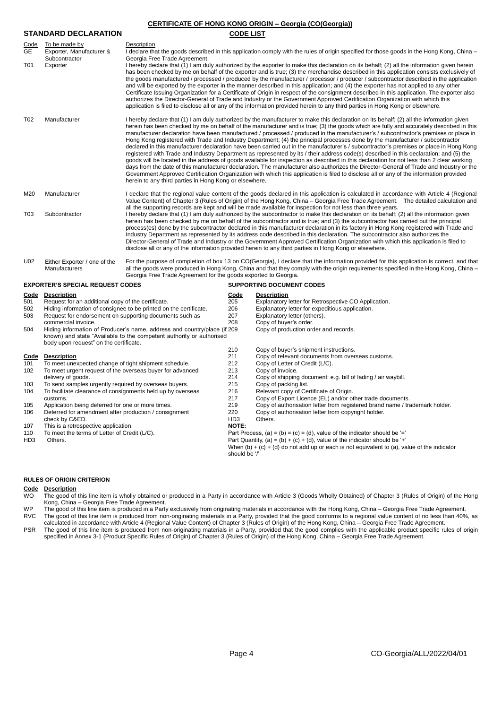# **CERTIFICATE OF HONG KONG ORIGIN – Georgia (CO(Georgia)) STANDARD DECLARATION CODE LIST** Code To be made by Description<br>GE Exporter Manufacturer & Lideclare the Exporter, Manufacturer & **Subcontractor** I declare that the goods described in this application comply with the rules of origin specified for those goods in the Hong Kong, China – Georgia Free Trade Agreement. T01 Exporter **Intereby declare that (1) I am duly authorized** by the exporter to make this declaration on its behalf; (2) all the information given herein has been checked by me on behalf of the exporter and is true; (3) the merchandise described in this application consists exclusively of the goods manufactured / processed / produced by the manufacturer / processor / producer / subcontractor described in the application and will be exported by the exporter in the manner described in this application; and (4) the exporter has not applied to any other Certificate Issuing Organization for a Certificate of Origin in respect of the consignment described in this application. The exporter also authorizes the Director-General of Trade and Industry or the Government Approved Certification Organization with which this application is filed to disclose all or any of the information provided herein to any third parties in Hong Kong or elsewhere. T02 Manufacturer Intereby declare that (1) I am duly authorized by the manufacturer to make this declaration on its behalf; (2) all the information given herein has been checked by me on behalf of the manufacturer and is true; (3) the goods which are fully and accurately described in this manufacturer declaration have been manufactured / processed / produced in the manufacturer's / subcontractor's premises or place in Hong Kong registered with Trade and Industry Department; (4) the principal processes done by the manufacturer / subcontractor declared in this manufacturer declaration have been carried out in the manufacturer's / subcontractor's premises or place in Hong Kong registered with Trade and Industry Department as represented by its / their address code(s) described in this declaration; and (5) the goods will be located in the address of goods available for inspection as described in this declaration for not less than 2 clear working days from the date of this manufacturer declaration. The manufacturer also authorizes the Director-General of Trade and Industry or the Government Approved Certification Organization with which this application is filed to disclose all or any of the information provided herein to any third parties in Hong Kong or elsewhere. M20 Manufacturer **I** declare that the regional value content of the goods declared in this application is calculated in accordance with Article 4 (Regional Value Content) of Chapter 3 (Rules of Origin) of the Hong Kong, China – Georgia Free Trade Agreement. The detailed calculation and all the supporting records are kept and will be made available for inspection for not less than three years. T03 Subcontractor I hereby declare that (1) I am duly authorized by the subcontractor to make this declaration on its behalf; (2) all the information given herein has been checked by me on behalf of the subcontractor and is true; and (3) the subcontractor has carried out the principal process(es) done by the subcontractor declared in this manufacturer declaration in its factory in Hong Kong registered with Trade and Industry Department as represented by its address code described in this declaration. The subcontractor also authorizes the Director-General of Trade and Industry or the Government Approved Certification Organization with which this application is filed to disclose all or any of the information provided herein to any third parties in Hong Kong or elsewhere. U02 Either Exporter / one of the Manufacturers For the purpose of completion of box 13 on CO(Georgia), I declare that the information provided for this application is correct, and that all the goods were produced in Hong Kong, China and that they comply with the origin requirements specified in the Hong Kong, China – Georgia Free Trade Agreement for the goods exported to Georgia. **EXPORTER'S SPECIAL REQUEST CODES SUPPORTING DOCUMENT CODES Code Description Code Description** 501 Request for an additional copy of the certificate. 205 Explanatory letter for Retrospective CO Application.

| 501             | Request for an additional copy of the certificate.                       | 205                                                                        | Explanatory letter for Retrospective CO Application.                                          |  |
|-----------------|--------------------------------------------------------------------------|----------------------------------------------------------------------------|-----------------------------------------------------------------------------------------------|--|
| 502             | Hiding information of consignee to be printed on the certificate.        | 206                                                                        | Explanatory letter for expeditious application.                                               |  |
| 503             | Request for endorsement on supporting documents such as                  | 207                                                                        | Explanatory letter (others).                                                                  |  |
|                 | commercial invoice.                                                      | 208                                                                        | Copy of buyer's order.                                                                        |  |
| 504             | Hiding information of Producer's name, address and country/place (if 209 |                                                                            | Copy of production order and records.                                                         |  |
|                 | known) and state "Available to the competent authority or authorised     |                                                                            |                                                                                               |  |
|                 | body upon request" on the certificate.                                   |                                                                            |                                                                                               |  |
|                 |                                                                          | 210                                                                        | Copy of buyer's shipment instructions.                                                        |  |
| Code            | <b>Description</b>                                                       | 211                                                                        | Copy of relevant documents from overseas customs.                                             |  |
| 101             | To meet unexpected change of tight shipment schedule.                    | 212                                                                        | Copy of Letter of Credit (L/C).                                                               |  |
| 102             | To meet urgent request of the overseas buyer for advanced                | 213                                                                        | Copy of invoice.                                                                              |  |
|                 | delivery of goods.                                                       | 214                                                                        | Copy of shipping document: e.g. bill of lading / air waybill.                                 |  |
| 103             | To send samples urgently required by overseas buyers.                    | 215                                                                        | Copy of packing list.                                                                         |  |
| 104             | To facilitate clearance of consignments held up by overseas              | 216                                                                        | Relevant copy of Certificate of Origin.                                                       |  |
|                 | customs.                                                                 | 217                                                                        | Copy of Export Licence (EL) and/or other trade documents.                                     |  |
| 105             | Application being deferred for one or more times.                        | 219                                                                        | Copy of authorisation letter from registered brand name / trademark holder.                   |  |
| 106             | Deferred for amendment after production / consignment                    | 220                                                                        | Copy of authorisation letter from copyright holder.                                           |  |
|                 | check by C&ED.                                                           | HD <sub>3</sub>                                                            | Others.                                                                                       |  |
| 107             | This is a retrospective application.                                     | <b>NOTE:</b>                                                               |                                                                                               |  |
| 110             | To meet the terms of Letter of Credit (L/C).                             |                                                                            | Part Process, (a) = (b) = (c) = (d), value of the indicator should be $=$                     |  |
| HD <sub>3</sub> | Others.                                                                  | Part Quantity, (a) = (b) + (c) + (d), value of the indicator should be '+' |                                                                                               |  |
|                 |                                                                          |                                                                            | When $(b) + (c) + (d)$ do not add up or each is not equivalent to (a), value of the indicator |  |
|                 |                                                                          | should be '/'                                                              |                                                                                               |  |
|                 |                                                                          |                                                                            |                                                                                               |  |

# **RULES OF ORIGIN CRITERION**

# **Code Description**

WO The good of this line item is wholly obtained or produced in a Party in accordance with Article 3 (Goods Wholly Obtained) of Chapter 3 (Rules of Origin) of the Hong Kong, China – Georgia Free Trade Agreement.

WP The good of this line item is produced in a Party exclusively from originating materials in accordance with the Hong Kong, China - Georgia Free Trade Agreement.

RVC The good of this line item is produced from non-originating materials in a Party, provided that the good conforms to a regional value content of no less than 40%, as<br>calculated in accordance with Article 4 (Regional Va PSR The good of this line item is produced from non-originating materials in a Party, provided that the good complies with the applicable product specific rules of origin

specified in Annex 3-1 (Product Specific Rules of Origin) of Chapter 3 (Rules of Origin) of the Hong Kong, China – Georgia Free Trade Agreement.